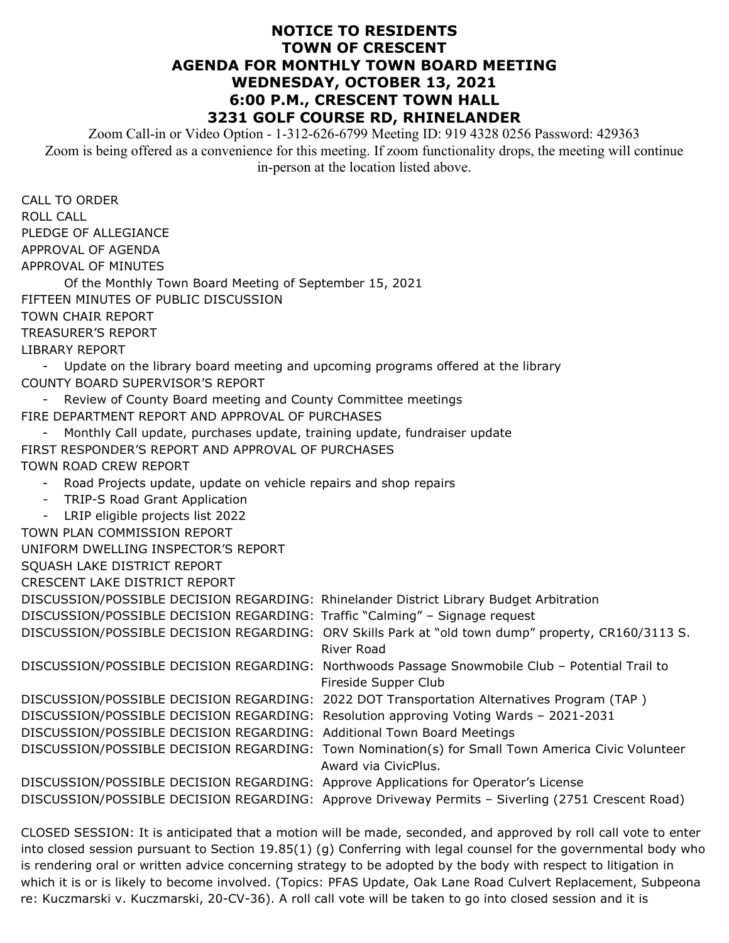## **NOTICE TO RESIDENTS TOWN OF CRESCENT AGENDA FOR MONTHLY TOWN BOARD MEETING WEDNESDAY, OCTOBER 13, 2021 6:00 P.M., CRESCENT TOWN HALL 3231 GOLF COURSE RD, RHINELANDER**

Zoom Call-in or Video Option - 1-312-626-6799 Meeting ID: 919 4328 0256 Password: 429363 Zoom is being offered as a convenience for this meeting. If zoom functionality drops, the meeting will continue in-person at the location listed above.

CALL TO ORDER ROLL CALL PLEDGE OF ALLEGIANCE APPROVAL OF AGENDA APPROVAL OF MINUTES Of the Monthly Town Board Meeting of September 15, 2021 FIFTEEN MINUTES OF PUBLIC DISCUSSION TOWN CHAIR REPORT TREASURER'S REPORT LIBRARY REPORT - Update on the library board meeting and upcoming programs offered at the library COUNTY BOARD SUPERVISOR'S REPORT - Review of County Board meeting and County Committee meetings FIRE DEPARTMENT REPORT AND APPROVAL OF PURCHASES Monthly Call update, purchases update, training update, fundraiser update FIRST RESPONDER'S REPORT AND APPROVAL OF PURCHASES TOWN ROAD CREW REPORT - Road Projects update, update on vehicle repairs and shop repairs - TRIP-S Road Grant Application - LRIP eligible projects list 2022 TOWN PLAN COMMISSION REPORT UNIFORM DWELLING INSPECTOR'S REPORT SQUASH LAKE DISTRICT REPORT CRESCENT LAKE DISTRICT REPORT DISCUSSION/POSSIBLE DECISION REGARDING: Rhinelander District Library Budget Arbitration DISCUSSION/POSSIBLE DECISION REGARDING: Traffic "Calming" – Signage request DISCUSSION/POSSIBLE DECISION REGARDING: ORV Skills Park at "old town dump" property, CR160/3113 S. River Road DISCUSSION/POSSIBLE DECISION REGARDING: Northwoods Passage Snowmobile Club – Potential Trail to Fireside Supper Club DISCUSSION/POSSIBLE DECISION REGARDING: 2022 DOT Transportation Alternatives Program (TAP ) DISCUSSION/POSSIBLE DECISION REGARDING: Resolution approving Voting Wards – 2021-2031 DISCUSSION/POSSIBLE DECISION REGARDING: Additional Town Board Meetings DISCUSSION/POSSIBLE DECISION REGARDING: Town Nomination(s) for Small Town America Civic Volunteer Award via CivicPlus. DISCUSSION/POSSIBLE DECISION REGARDING: Approve Applications for Operator's License DISCUSSION/POSSIBLE DECISION REGARDING: Approve Driveway Permits – Siverling (2751 Crescent Road)

CLOSED SESSION: It is anticipated that a motion will be made, seconded, and approved by roll call vote to enter into closed session pursuant to Section 19.85(1) (g) Conferring with legal counsel for the governmental body who is rendering oral or written advice concerning strategy to be adopted by the body with respect to litigation in which it is or is likely to become involved. (Topics: PFAS Update, Oak Lane Road Culvert Replacement, Subpeona re: Kuczmarski v. Kuczmarski, 20-CV-36). A roll call vote will be taken to go into closed session and it is